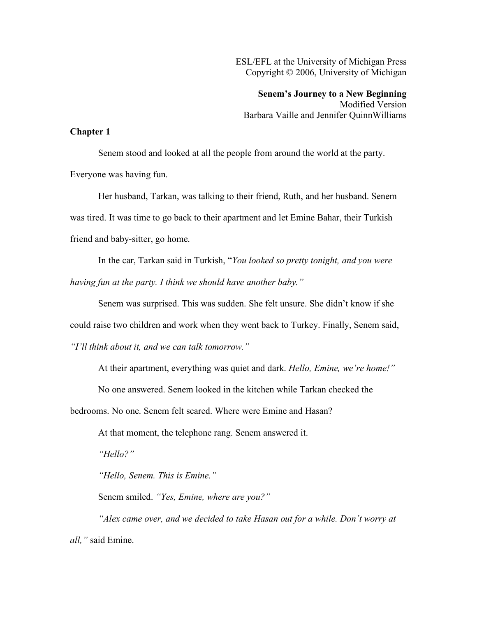ESL/EFL at the University of Michigan Press Copyright © 2006, University of Michigan

**Senem's Journey to a New Beginning** Modified Version Barbara Vaille and Jennifer QuinnWilliams

## **Chapter 1**

Senem stood and looked at all the people from around the world at the party. Everyone was having fun.

Her husband, Tarkan, was talking to their friend, Ruth, and her husband. Senem was tired. It was time to go back to their apartment and let Emine Bahar, their Turkish friend and baby-sitter, go home.

In the car, Tarkan said in Turkish, "*You looked so pretty tonight, and you were having fun at the party. I think we should have another baby."*

Senem was surprised. This was sudden. She felt unsure. She didn't know if she could raise two children and work when they went back to Turkey. Finally, Senem said, *"I'll think about it, and we can talk tomorrow."*

At their apartment, everything was quiet and dark. *Hello, Emine, we're home!"*

No one answered. Senem looked in the kitchen while Tarkan checked the

bedrooms. No one. Senem felt scared. Where were Emine and Hasan?

At that moment, the telephone rang. Senem answered it.

*"Hello?"*

*"Hello, Senem. This is Emine."*

Senem smiled. *"Yes, Emine, where are you?"*

*"Alex came over, and we decided to take Hasan out for a while. Don't worry at all,"* said Emine.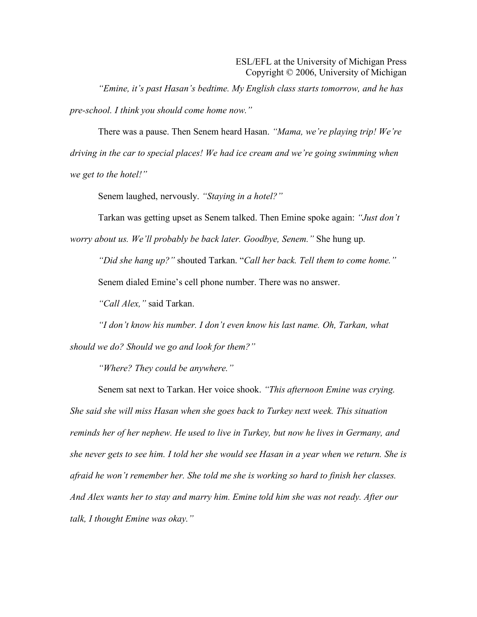*"Emine, it's past Hasan's bedtime. My English class starts tomorrow, and he has pre-school. I think you should come home now."*

There was a pause. Then Senem heard Hasan. *"Mama, we're playing trip! We're driving in the car to special places! We had ice cream and we're going swimming when we get to the hotel!"*

Senem laughed, nervously. *"Staying in a hotel?"*

Tarkan was getting upset as Senem talked. Then Emine spoke again: *"Just don't worry about us. We'll probably be back later. Goodbye, Senem."* She hung up.

*"Did she hang up?"* shouted Tarkan. "*Call her back. Tell them to come home."* Senem dialed Emine's cell phone number. There was no answer.

*"Call Alex,"* said Tarkan.

*"I don't know his number. I don't even know his last name. Oh, Tarkan, what should we do? Should we go and look for them?"*

*"Where? They could be anywhere."*

Senem sat next to Tarkan. Her voice shook. *"This afternoon Emine was crying. She said she will miss Hasan when she goes back to Turkey next week. This situation reminds her of her nephew. He used to live in Turkey, but now he lives in Germany, and she never gets to see him. I told her she would see Hasan in a year when we return. She is afraid he won't remember her. She told me she is working so hard to finish her classes. And Alex wants her to stay and marry him. Emine told him she was not ready. After our talk, I thought Emine was okay."*